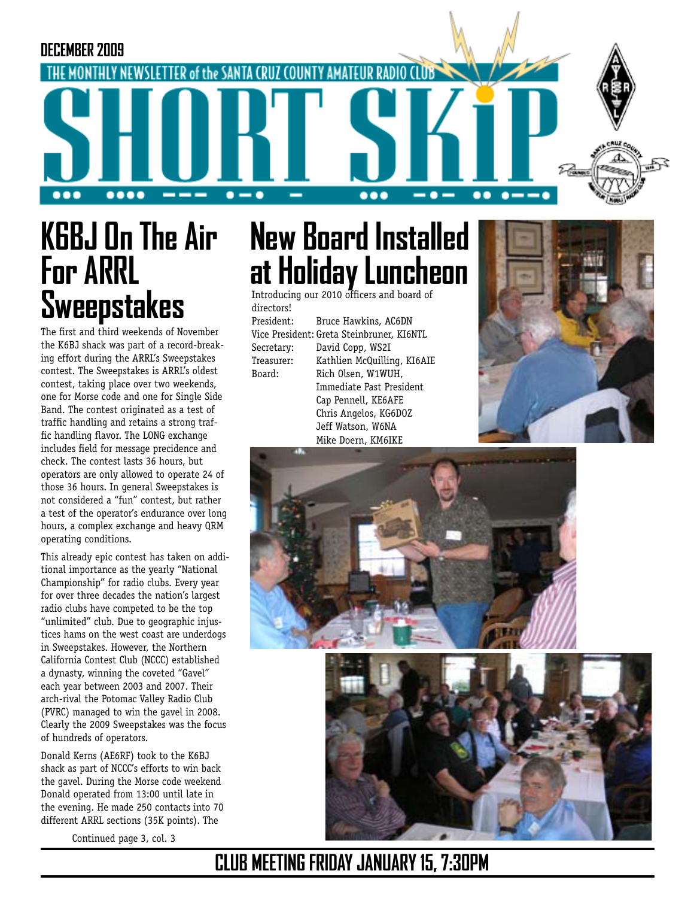

# **K6BJ On The Air For ARRL Sweepstakes**

The first and third weekends of November the K6BJ shack was part of a record-breaking effort during the ARRL's Sweepstakes contest. The Sweepstakes is ARRL's oldest contest, taking place over two weekends, one for Morse code and one for Single Side Band. The contest originated as a test of traffic handling and retains a strong traffic handling flavor. The LONG exchange includes field for message precidence and check. The contest lasts 36 hours, but operators are only allowed to operate 24 of those 36 hours. In general Sweepstakes is not considered a "fun" contest, but rather a test of the operator's endurance over long hours, a complex exchange and heavy QRM operating conditions.

This already epic contest has taken on additional importance as the yearly "National Championship" for radio clubs. Every year for over three decades the nation's largest radio clubs have competed to be the top "unlimited" club. Due to geographic injustices hams on the west coast are underdogs in Sweepstakes. However, the Northern California Contest Club (NCCC) established a dynasty, winning the coveted "Gavel" each year between 2003 and 2007. Their arch-rival the Potomac Valley Radio Club (PVRC) managed to win the gavel in 2008. Clearly the 2009 Sweepstakes was the focus of hundreds of operators.

Donald Kerns (AE6RF) took to the K6BJ shack as part of NCCC's efforts to win back the gavel. During the Morse code weekend Donald operated from 13:00 until late in the evening. He made 250 contacts into 70 different ARRL sections (35K points). The

Continued page 3, col. 3

# **New Board Installed at Holiday Luncheon**

Introducing our 2010 officers and board of directors!

President: Bruce Hawkins, AC6DN

Vice President: Greta Steinbruner, KI6NTL Secretary: David Copp, WS2I Treasurer: Kathlien McQuilling, KI6AIE Board: Rich Olsen, W1WUH, Immediate Past President Cap Pennell, KE6AFE Chris Angelos, KG6DOZ Jeff Watson, W6NA Mike Doern, KM6IKE







## **CLUB MEETING FRIDAY JANUARY 15, 7:30PM**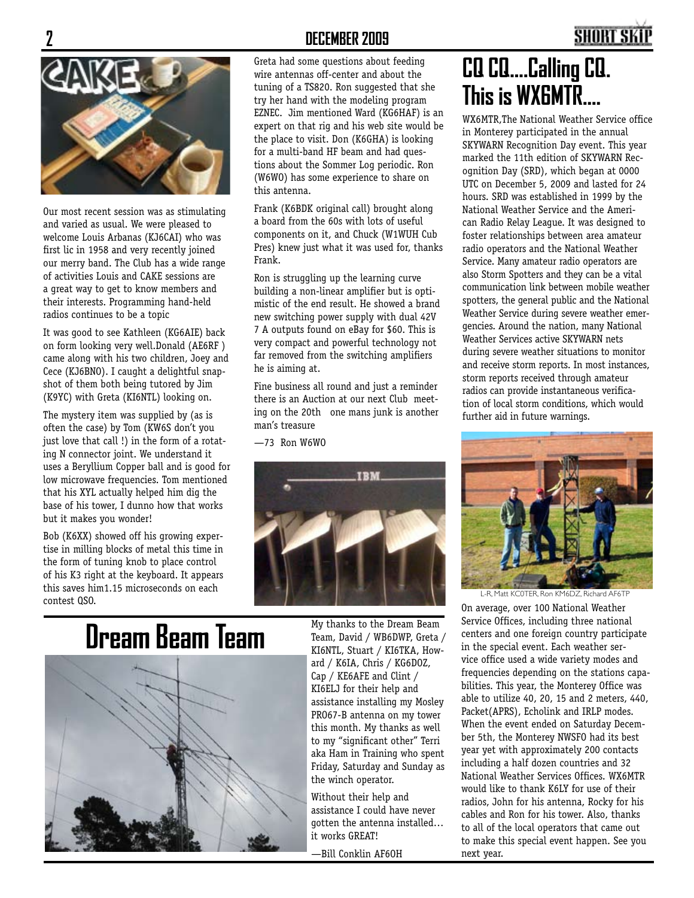Our most recent session was as stimulating and varied as usual. We were pleased to welcome Louis Arbanas (KJ6CAI) who was first lic in 1958 and very recently joined our merry band. The Club has a wide range of activities Louis and CAKE sessions are a great way to get to know members and their interests. Programming hand-held radios continues to be a topic

It was good to see Kathleen (KG6AIE) back on form looking very well.Donald (AE6RF ) came along with his two children, Joey and Cece (KJ6BNO). I caught a delightful snapshot of them both being tutored by Jim (K9YC) with Greta (KI6NTL) looking on.

The mystery item was supplied by (as is often the case) by Tom (KW6S don't you just love that call !) in the form of a rotating N connector joint. We understand it uses a Beryllium Copper ball and is good for low microwave frequencies. Tom mentioned that his XYL actually helped him dig the base of his tower, I dunno how that works but it makes you wonder!

Bob (K6XX) showed off his growing expertise in milling blocks of metal this time in the form of tuning knob to place control of his K3 right at the keyboard. It appears this saves him1.15 microseconds on each contest QSO.

#### **2 DECEMBER 2009**

Greta had some questions about feeding wire antennas off-center and about the tuning of a TS820. Ron suggested that she try her hand with the modeling program EZNEC. Jim mentioned Ward (KG6HAF) is an expert on that rig and his web site would be the place to visit. Don (K6GHA) is looking for a multi-band HF beam and had questions about the Sommer Log periodic. Ron (W6WO) has some experience to share on this antenna.

Frank (K6BDK original call) brought along a board from the 60s with lots of useful components on it, and Chuck (W1WUH Cub Pres) knew just what it was used for, thanks Frank.

Ron is struggling up the learning curve building a non-linear amplifier but is optimistic of the end result. He showed a brand new switching power supply with dual 42V 7 A outputs found on eBay for \$60. This is very compact and powerful technology not far removed from the switching amplifiers he is aiming at.

Fine business all round and just a reminder there is an Auction at our next Club meeting on the 20th one mans junk is another man's treasure

—73 Ron W6WO





Team, David / WB6DWP, Greta / KI6NTL, Stuart / KI6TKA, Howard / K6IA, Chris / KG6DOZ, Cap / KE6AFE and Clint / KI6ELJ for their help and assistance installing my Mosley PRO67-B antenna on my tower this month. My thanks as well to my "significant other" Terri aka Ham in Training who spent Friday, Saturday and Sunday as the winch operator.

Without their help and assistance I could have never gotten the antenna installed… it works GREAT!

—Bill Conklin AF6OH

## **CQ CQ....Calling CQ. This is WX6MTR....**

WX6MTR,The National Weather Service office in Monterey participated in the annual SKYWARN Recognition Day event. This year marked the 11th edition of SKYWARN Recognition Day (SRD), which began at 0000 UTC on December 5, 2009 and lasted for 24 hours. SRD was established in 1999 by the National Weather Service and the American Radio Relay League. It was designed to foster relationships between area amateur radio operators and the National Weather Service. Many amateur radio operators are also Storm Spotters and they can be a vital communication link between mobile weather spotters, the general public and the National Weather Service during severe weather emergencies. Around the nation, many National Weather Services active SKYWARN nets during severe weather situations to monitor and receive storm reports. In most instances, storm reports received through amateur radios can provide instantaneous verification of local storm conditions, which would further aid in future warnings.



L-R, Matt KC0TER, Ron KM6DZ, Richard AF6TP

On average, over 100 National Weather Service Offices, including three national centers and one foreign country participate in the special event. Each weather service office used a wide variety modes and frequencies depending on the stations capabilities. This year, the Monterey Office was able to utilize 40, 20, 15 and 2 meters, 440, Packet(APRS), Echolink and IRLP modes. When the event ended on Saturday December 5th, the Monterey NWSFO had its best year yet with approximately 200 contacts including a half dozen countries and 32 National Weather Services Offices. WX6MTR would like to thank K6LY for use of their radios, John for his antenna, Rocky for his cables and Ron for his tower. Also, thanks to all of the local operators that came out to make this special event happen. See you next year.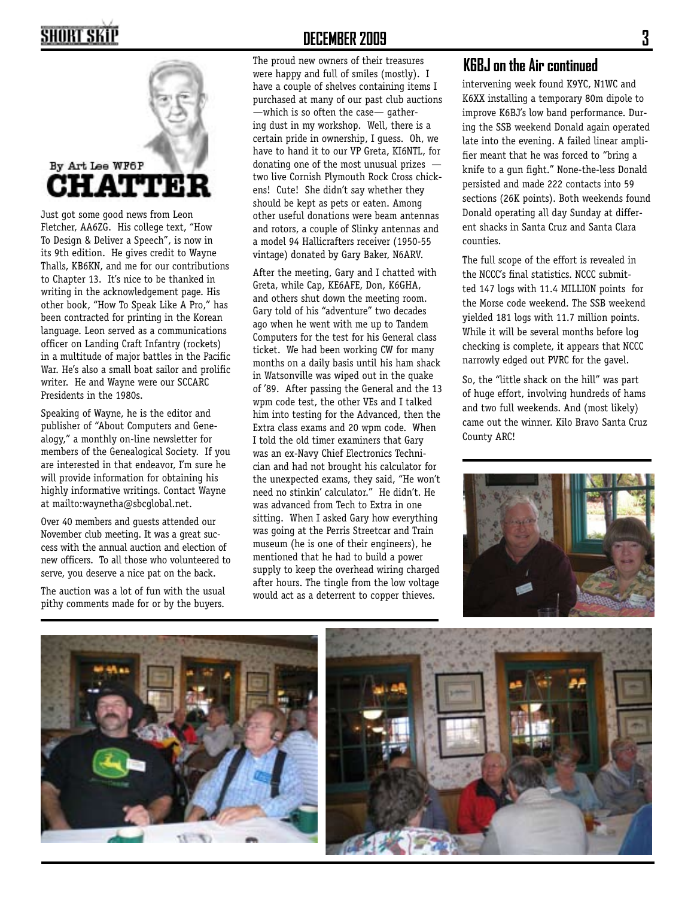# **SHORT SKIP**



Just got some good news from Leon Fletcher, AA6ZG. His college text, "How To Design & Deliver a Speech", is now in its 9th edition. He gives credit to Wayne Thalls, KB6KN, and me for our contributions to Chapter 13. It's nice to be thanked in writing in the acknowledgement page. His other book, "How To Speak Like A Pro," has been contracted for printing in the Korean language. Leon served as a communications officer on Landing Craft Infantry (rockets) in a multitude of major battles in the Pacific War. He's also a small boat sailor and prolific writer. He and Wayne were our SCCARC Presidents in the 1980s.

Speaking of Wayne, he is the editor and publisher of "About Computers and Genealogy," a monthly on-line newsletter for members of the Genealogical Society. If you are interested in that endeavor, I'm sure he will provide information for obtaining his highly informative writings. Contact Wayne at mailto:waynetha@sbcglobal.net.

Over 40 members and guests attended our November club meeting. It was a great success with the annual auction and election of new officers. To all those who volunteered to serve, you deserve a nice pat on the back.

The auction was a lot of fun with the usual pithy comments made for or by the buyers.

#### **DECEMBER 2009 3**

The proud new owners of their treasures were happy and full of smiles (mostly). I have a couple of shelves containing items I purchased at many of our past club auctions —which is so often the case— gathering dust in my workshop. Well, there is a certain pride in ownership, I guess. Oh, we have to hand it to our VP Greta, KI6NTL, for donating one of the most unusual prizes two live Cornish Plymouth Rock Cross chickens! Cute! She didn't say whether they should be kept as pets or eaten. Among other useful donations were beam antennas and rotors, a couple of Slinky antennas and a model 94 Hallicrafters receiver (1950-55 vintage) donated by Gary Baker, N6ARV.

After the meeting, Gary and I chatted with Greta, while Cap, KE6AFE, Don, K6GHA, and others shut down the meeting room. Gary told of his "adventure" two decades ago when he went with me up to Tandem Computers for the test for his General class ticket. We had been working CW for many months on a daily basis until his ham shack in Watsonville was wiped out in the quake of '89. After passing the General and the 13 wpm code test, the other VEs and I talked him into testing for the Advanced, then the Extra class exams and 20 wpm code. When I told the old timer examiners that Gary was an ex-Navy Chief Electronics Technician and had not brought his calculator for the unexpected exams, they said, "He won't need no stinkin' calculator." He didn't. He was advanced from Tech to Extra in one sitting. When I asked Gary how everything was going at the Perris Streetcar and Train museum (he is one of their engineers), he mentioned that he had to build a power supply to keep the overhead wiring charged after hours. The tingle from the low voltage would act as a deterrent to copper thieves.

#### **K6BJ on the Air continued**

intervening week found K9YC, N1WC and K6XX installing a temporary 80m dipole to improve K6BJ's low band performance. During the SSB weekend Donald again operated late into the evening. A failed linear amplifier meant that he was forced to "bring a knife to a gun fight." None-the-less Donald persisted and made 222 contacts into 59 sections (26K points). Both weekends found Donald operating all day Sunday at different shacks in Santa Cruz and Santa Clara counties.

The full scope of the effort is revealed in the NCCC's final statistics. NCCC submitted 147 logs with 11.4 MILLION points for the Morse code weekend. The SSB weekend yielded 181 logs with 11.7 million points. While it will be several months before log checking is complete, it appears that NCCC narrowly edged out PVRC for the gavel.

So, the "little shack on the hill" was part of huge effort, involving hundreds of hams and two full weekends. And (most likely) came out the winner. Kilo Bravo Santa Cruz County ARC!